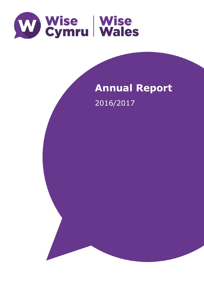

# **Annual Report** 2016/2017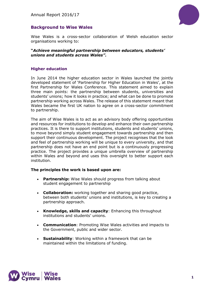

# **Background to Wise Wales**

Wise Wales is a cross-sector collaboration of Welsh education sector organisations working to:

#### **"***Achieve meaningful partnership between educators, students' unions and students across Wales".*

#### **Higher education**

In June 2014 the higher education sector in Wales launched the jointly developed statement of 'Partnership for Higher Education in Wales', at the first Partnership for Wales Conference. This statement aimed to explain three main points: the partnership between students, universities and students' unions; how it looks in practice; and what can be done to promote partnership working across Wales. The release of this statement meant that Wales became the first UK nation to agree on a cross-sector commitment to partnership.

The aim of Wise Wales is to act as an advisory body offering opportunities and resources for institutions to develop and enhance their own partnership practices. It is there to support institutions, students and students' unions, to move beyond simply student engagement towards partnership and then support their continuous development. The project recognises that the look and feel of partnership working will be unique to every university, and that partnership does not have an end point but is a continuously progressing practice. The project provides a unique umbrella overview of partnership within Wales and beyond and uses this oversight to better support each institution.

#### **The principles the work is based upon are:**

- **Partnership:** Wise Wales should progress from talking about student engagement to partnership
- **Collaboration:** working together and sharing good practice, between both students' unions and institutions, is key to creating a partnership approach.
- **Knowledge, skills and capacity**: Enhancing this throughout institutions and students' unions.
- **Communication**: Promoting Wise Wales activities and impacts to the Government, public and wider sector.
- **Sustainability**: Working within a framework that can be maintained within the limitations of funding.

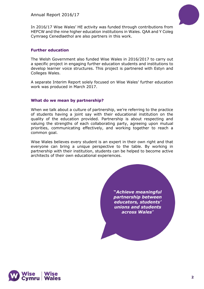

In 2016/17 Wise Wales' HE activity was funded through contributions from HEFCW and the nine higher education institutions in Wales. QAA and Y Coleg Cymraeg Cenedlaethol are also partners in this work.

#### **Further education**

The Welsh Government also funded Wise Wales in 2016/2017 to carry out a specific project in engaging further education students and institutions to develop learner voice structures. This project is partnered with Estyn and Colleges Wales.

A separate Interim Report solely focused on Wise Wales' further education work was produced in March 2017.

#### **What do we mean by partnership?**

When we talk about a culture of partnership, we're referring to the practice of students having a joint say with their educational institution on the quality of the education provided. Partnership is about respecting and valuing the strengths of each collaborating party, agreeing upon mutual priorities, communicating effectively, and working together to reach a common goal.

Wise Wales believes every student is an expert in their own right and that everyone can bring a unique perspective to the table. By working in partnership with their institution, students can be helped to become active architects of their own educational experiences.

> **"***Achieve meaningful partnership between educators, students' unions and students across Wales*"

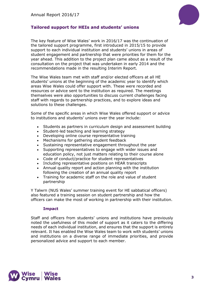

# **Tailored support for HEIs and students' unions**

The key feature of Wise Wales' work in 2016/17 was the continuation of the tailored support programme, first introduced in 2015/15 to provide support to each individual institution and students' unions in areas of student engagement and partnership that were priorities for them for the year ahead. This addition to the project plan came about as a result of the consultation on the project that was undertaken in early 2014 and the recommendations made in the resulting Interim Report.

The Wise Wales team met with staff and/or elected officers at all HE students' unions at the beginning of the academic year to identify which areas Wise Wales could offer support with. These were recorded and resources or advice sent to the institution as required. The meetings themselves were also opportunities to discuss current challenges facing staff with regards to partnership practices, and to explore ideas and solutions to these challenges.

Some of the specific areas in which Wise Wales offered support or advice to institutions and students' unions over the year include:

- Students as partners in curriculum design and assessment building
- Student-led teaching and learning strategy
- Developing online course representative training
- Mechanisms for gathering student feedback
- Sustaining representative engagement throughout the year
- Supporting representatives to engage with wider issues and education policy, not just matters relating to their course alone
- Code of conduct/practice for student representatives
- Including representative positions on HEAR transcripts
- Annual quality report and action planning with the institution following the creation of an annual quality report
- Training for academic staff on the role and value of student partnership

Y Talwrn (NUS Wales' summer training event for HE sabbatical officers) also featured a training session on student partnership and how the officers can make the most of working in partnership with their institution.

#### **Impact**

Staff and officers from students' unions and institutions have previously noted the usefulness of this model of support as it caters to the differing needs of each individual institution, and ensures that the support is entirely relevant. It has enabled the Wise Wales team to work with students' unions and institutions on a diverse range of immediate priorities, and provide personalized advice and support to each member.

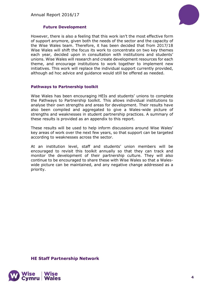

## **Future Development**

However, there is also a feeling that this work isn't the most effective form of support anymore, given both the needs of the sector and the capacity of the Wise Wales team. Therefore, it has been decided that from 2017/18 Wise Wales will shift the focus its work to concentrate on two key themes each year, decided upon in consultation with institutions and students' unions. Wise Wales will research and create development resources for each theme, and encourage institutions to work together to implement new initiatives. This work will replace the individual support currently provided, although ad hoc advice and guidance would still be offered as needed.

#### **Pathways to Partnership toolkit**

Wise Wales has been encouraging HEIs and students' unions to complete the Pathways to Partnership toolkit. This allows individual institutions to analyse their own strengths and areas for development. Their results have also been compiled and aggregated to give a Wales-wide picture of strengths and weaknesses in student partnership practices. A summary of these results is provided as an appendix to this report.

These results will be used to help inform discussions around Wise Wales' key areas of work over the next few years, so that support can be targeted according to weaknesses across the sector.

At an institution level, staff and students' union members will be encouraged to revisit this toolkit annually so that they can track and monitor the development of their partnership culture. They will also continue to be encouraged to share these with Wise Wales so that a Waleswide picture can be maintained, and any negative change addressed as a priority.

**HE Staff Partnership Network**

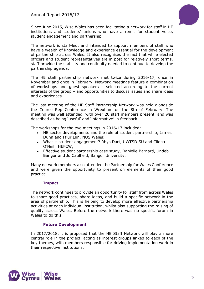

Since June 2015, Wise Wales has been facilitating a network for staff in HE institutions and students' unions who have a remit for student voice, student engagement and partnership.

The network is staff-led, and intended to support members of staff who have a wealth of knowledge and experience essential for the development of partnership across Wales. It also recognises the fact that while elected officers and student representatives are in post for relatively short terms, staff provide the stability and continuity needed to continue to develop the partnership agenda.

The HE staff partnership network met twice during 2016/17, once in November and once in February. Network meetings feature a combination of workshops and guest speakers – selected according to the current interests of the group – and opportunities to discuss issues and share ideas and experiences.

The last meeting of the HE Staff Partnership Network was held alongside the Course Rep Conference in Wrexham on the 8th of February. The meeting was well attended, with over 20 staff members present, and was described as being 'useful' and 'informative' in feedback.

The workshops for the two meetings in 2016/17 included:

- HE sector developments and the role of student partnership, James Dunn and Fflur Elin, NUS Wales;
- What is student engagement? Rhys Dart, UWTSD SU and Cliona O'Neill, HEFCW;
- Effective student partnership case study, Danielle Barnard, Undeb Bangor and Jo Caulfield, Bangor University.

Many network members also attended the Partnership for Wales Conference and were given the opportunity to present on elements of their good practice.

## **Impact**

The network continues to provide an opportunity for staff from across Wales to share good practices, share ideas, and build a specific network in the area of partnership. This is helping to develop more effective partnership activities at each individual institution, whilst also supporting the raising of quality across Wales. Before the network there was no specific forum in Wales to do this.

## **Future Development**

In 2017/2018, it is proposed that the HE Staff Network will play a more central role in the project, acting as interest groups linked to each of the key themes, with members responsible for driving implementation work in their respective institutions.

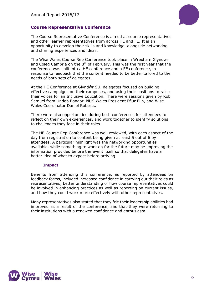

# **Course Representative Conference**

The Course Representative Conference is aimed at course representatives and other learner representatives from across HE and FE. It is an opportunity to develop their skills and knowledge, alongside networking and sharing experiences and ideas.

The Wise Wales Course Rep Conference took place in Wrexham Glyndwr and Coleg Cambria on the  $8<sup>th</sup>$  of February. This was the first year that the conference was split into a HE conference and a FE conference, in response to feedback that the content needed to be better tailored to the needs of both sets of delegates.

At the HE Conference at Glyndŵr SU, delegates focused on building effective campaigns on their campuses, and using their positions to raise their voices for an Inclusive Education. There were sessions given by Rob Samuel from Undeb Bangor, NUS Wales President Fflur Elin, and Wise Wales Coordinator Daniel Roberts.

There were also opportunities during both conferences for attendees to reflect on their own experiences, and work together to identify solutions to challenges they face in their roles.

The HE Course Rep Conference was well-reviewed, with each aspect of the day from registration to content being given at least 5 out of 6 by attendees. A particular highlight was the networking opportunities available, while something to work on for the future may be improving the information provided before the event itself so that delegates have a better idea of what to expect before arriving.

#### **Impact**

Benefits from attending this conference, as reported by attendees on feedback forms, included increased confidence in carrying out their roles as representatives, better understanding of how course representatives could be involved in enhancing practices as well as reporting on current issues, and how they could work more effectively with other representatives.

Many representatives also stated that they felt their leadership abilities had improved as a result of the conference, and that they were returning to their institutions with a renewed confidence and enthusiasm.

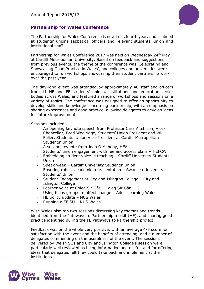

# **Partnership for Wales Conference**

The Partnership for Wales Conference is now in its fourth year, and is aimed at students' unions sabbatical officers and relevant students' union and institutional staff.

Partnership for Wales Conference 2017 was held on Wednesday 24<sup>th</sup> May at Cardiff Metropolitan University. Based on feedback and suggestions from previous events, the theme of the conference was 'Celebrating and Showcasing Good Practice in Wales', and colleges and universities were encouraged to run workshops showcasing their student partnership work over the past year.

The day-long event was attended by approximately 40 staff and officers from 11 HE and FE students' unions, institutions and education sector bodies across Wales, and featured a range of workshops and sessions on a variety of topics. The conference was designed to offer an opportunity to develop skills and knowledge concerning partnership, with an emphasis on sharing experiences and good practice, allowing delegates to develop ideas for future improvement.

Sessions included:

- An opening keynote speech from Professor Cara Aitchison, Vice-Chancellor; Brad Woolridge, Students' Union President and Will Fuller, Students' Union Vice-President at Cardiff Metropolitan Students' Union
- A second keynote from Joan O'Mahony, HEA
- Students' union engagement with fee and access plans HEFCW
- Embedding student voice in teaching Cardiff University Students' Union
- Speak week Cardiff University Students' Union
- Ensuring robust academic representation Swansea University Students' Union
- Student Engagement at City and Islington College City and Islington College
- Learner voice at Coleg Sir Gâr Coleg Sir Gâr
- Using focus groups to affect change Adult Learning Wales
- HE policy update NUS Wales
- Running a FE SU NUS Wales

Wise Wales also ran two sessions discussing key themes and trends identified from the Pathways to Partnership toolkit (HE), and sharing good practice identified during the FE Pathways to Partnership project.

Feedback was on the whole very positive, with an average 4/5 score for satisfaction with the event and the benefits of attending, and a number of delegates commenting on the usefulness of the event. The sessions delivered by Welsh SUs and City and Islington College's session were particularly well reviewed as being informative and useful, and for offering ideas that delegates felt they could take back and implement at their institutions.

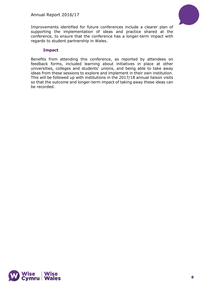

Improvements identified for future conferences include a clearer plan of supporting the implementation of ideas and practice shared at the conference, to ensure that the conference has a longer-term impact with regards to student partnership in Wales.

## **Impact**

Benefits from attending this conference, as reported by attendees on feedback forms, included learning about initiatives in place at other universities, colleges and students' unions, and being able to take away ideas from these sessions to explore and implement in their own institution. This will be followed up with institutions in the 2017/18 annual liaison visits so that the outcome and longer-term impact of taking away these ideas can be recorded.

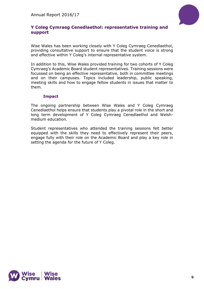

# **Y Coleg Cymraeg Cenedlaethol: representative training and support**

Wise Wales has been working closely with Y Coleg Cymraeg Cenedlaethol, providing consultative support to ensure that the student voice is strong and effective within Y Coleg's internal representative system.

In addition to this, Wise Wales provided training for two cohorts of Y Coleg Cymraeg's Academic Board student representatives. Training sessions were focussed on being an effective representative, both in committee meetings and on their campuses. Topics included leadership, public speaking, meeting skills and how to engage fellow students in issues that matter to them.

## **Impact**

The ongoing partnership between Wise Wales and Y Coleg Cymraeg Cenedlaethol helps ensure that students play a pivotal role in the short and long term development of Y Coleg Cymraeg Cenedlaethol and Welshmedium education.

Student representatives who attended the training sessions felt better equipped with the skills they need to effectively represent their peers, engage fully with their role on the Academic Board and play a key role in setting the agenda for the future of Y Coleg.

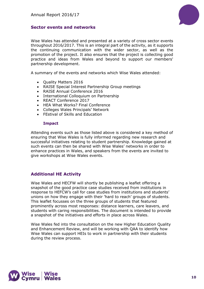

## **Sector events and networks**

Wise Wales has attended and presented at a variety of cross sector events throughout 2016/2017. This is an integral part of the activity, as it supports the continuing communication with the wider sector, as well as the promotion of the project. It also ensures that the project is collecting good practice and ideas from Wales and beyond to support our members' partnership development.

A summary of the events and networks which Wise Wales attended:

- Quality Matters 2016
- RAISE Special Interest Partnership Group meetings
- RAISE Annual Conference 2016
- International Colloquium on Partnership
- REACT Conference 2017
- HEA What Works? Final Conference
- Colleges Wales Principals' Network
- FEstival of Skills and Education

#### **Impact**

Attending events such as those listed above is considered a key method of ensuring that Wise Wales is fully informed regarding new research and successful initiatives relating to student partnership. Knowledge gained at such events can then be shared with Wise Wales' networks in order to enhance practices in Wales, and speakers from the events are invited to give workshops at Wise Wales events.

## **Additional HE Activity**

Wise Wales and HECFW will shortly be publishing a leaflet offering a snapshot of the good practice case studies received from institutions in response to HEFCW's call for case studies from institutions and students' unions on how they engage with their 'hard to reach' groups of students. This leaflet focusses on the three groups of students that featured prominently across most responses: distance learners, care leavers, and students with caring responsibilities. The document is intended to provide a snapshot of the initiatives and efforts in place across Wales.

Wise Wales fed into the consultation on the new Higher Education Quality and Enhancement Review, and will be working with QAA to identify how Wise Wales can support HEIs to work in partnership with their students during the review process.